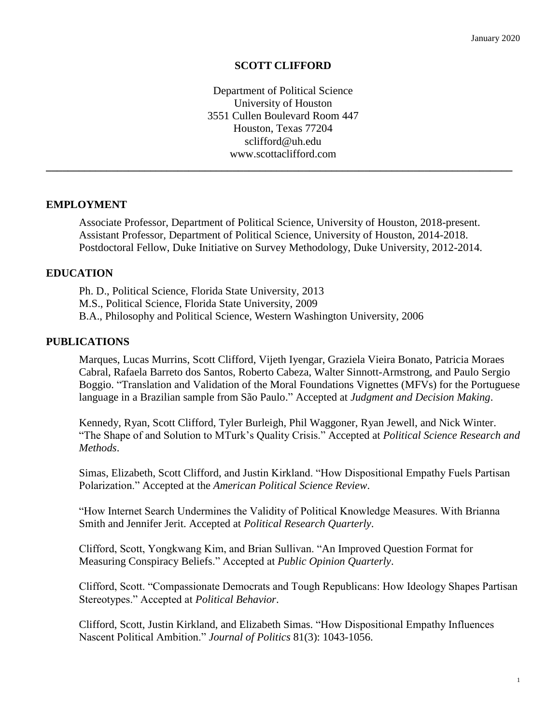#### **SCOTT CLIFFORD**

Department of Political Science University of Houston 3551 Cullen Boulevard Room 447 Houston, Texas 77204 sclifford@uh.edu www.scottaclifford.com

**\_\_\_\_\_\_\_\_\_\_\_\_\_\_\_\_\_\_\_\_\_\_\_\_\_\_\_\_\_\_\_\_\_\_\_\_\_\_\_\_\_\_\_\_\_\_\_\_\_\_\_\_\_\_\_\_\_\_\_\_\_\_\_\_\_\_\_\_\_\_\_\_\_\_\_\_\_\_\_\_\_\_\_\_\_**

#### **EMPLOYMENT**

Associate Professor, Department of Political Science, University of Houston, 2018-present. Assistant Professor, Department of Political Science, University of Houston, 2014-2018. Postdoctoral Fellow, Duke Initiative on Survey Methodology, Duke University, 2012-2014.

#### **EDUCATION**

Ph. D., Political Science, Florida State University, 2013 M.S., Political Science, Florida State University, 2009 B.A., Philosophy and Political Science, Western Washington University, 2006

#### **PUBLICATIONS**

Marques, Lucas Murrins, Scott Clifford, Vijeth Iyengar, Graziela Vieira Bonato, Patricia Moraes Cabral, Rafaela Barreto dos Santos, Roberto Cabeza, Walter Sinnott-Armstrong, and Paulo Sergio Boggio. "Translation and Validation of the Moral Foundations Vignettes (MFVs) for the Portuguese language in a Brazilian sample from São Paulo." Accepted at *Judgment and Decision Making*.

Kennedy, Ryan, Scott Clifford, Tyler Burleigh, Phil Waggoner, Ryan Jewell, and Nick Winter. "The Shape of and Solution to MTurk's Quality Crisis." Accepted at *Political Science Research and Methods*.

Simas, Elizabeth, Scott Clifford, and Justin Kirkland. "How Dispositional Empathy Fuels Partisan Polarization." Accepted at the *American Political Science Review*.

"How Internet Search Undermines the Validity of Political Knowledge Measures. With Brianna Smith and Jennifer Jerit. Accepted at *Political Research Quarterly*.

Clifford, Scott, Yongkwang Kim, and Brian Sullivan. "An Improved Question Format for Measuring Conspiracy Beliefs." Accepted at *Public Opinion Quarterly*.

Clifford, Scott. "Compassionate Democrats and Tough Republicans: How Ideology Shapes Partisan Stereotypes." Accepted at *Political Behavior*.

Clifford, Scott, Justin Kirkland, and Elizabeth Simas. "How Dispositional Empathy Influences Nascent Political Ambition." *Journal of Politics* 81(3): 1043-1056.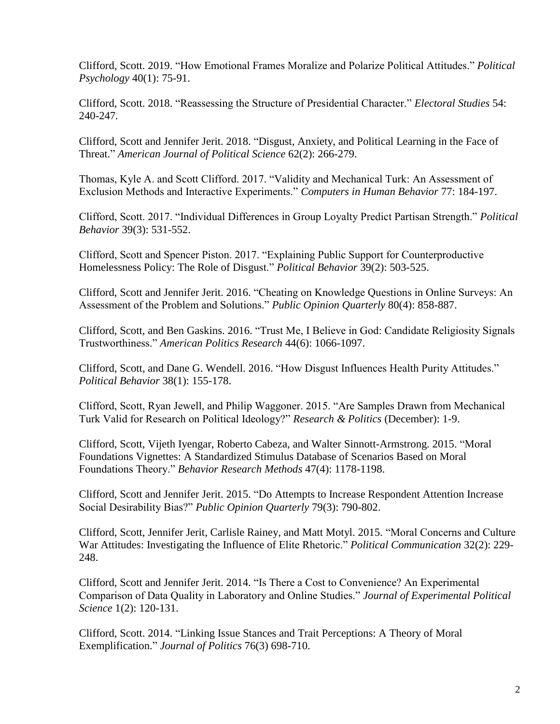Clifford, Scott. 2019. "How Emotional Frames Moralize and Polarize Political Attitudes." *Political Psychology* 40(1): 75-91.

Clifford, Scott. 2018. "Reassessing the Structure of Presidential Character." *Electoral Studies* 54: 240-247*.*

Clifford, Scott and Jennifer Jerit. 2018. "Disgust, Anxiety, and Political Learning in the Face of Threat." *American Journal of Political Science* 62(2): 266-279.

Thomas, Kyle A. and Scott Clifford. 2017. "Validity and Mechanical Turk: An Assessment of Exclusion Methods and Interactive Experiments." *Computers in Human Behavior* 77: 184-197.

Clifford, Scott. 2017. "Individual Differences in Group Loyalty Predict Partisan Strength." *Political Behavior* 39(3): 531-552.

Clifford, Scott and Spencer Piston. 2017. "Explaining Public Support for Counterproductive Homelessness Policy: The Role of Disgust." *Political Behavior* 39(2): 503-525.

Clifford, Scott and Jennifer Jerit. 2016. "Cheating on Knowledge Questions in Online Surveys: An Assessment of the Problem and Solutions." *Public Opinion Quarterly* 80(4): 858-887.

Clifford, Scott, and Ben Gaskins. 2016. "Trust Me, I Believe in God: Candidate Religiosity Signals Trustworthiness." *American Politics Research* 44(6): 1066-1097.

Clifford, Scott, and Dane G. Wendell. 2016. "How Disgust Influences Health Purity Attitudes." *Political Behavior* 38(1): 155-178.

Clifford, Scott, Ryan Jewell, and Philip Waggoner. 2015. "Are Samples Drawn from Mechanical Turk Valid for Research on Political Ideology?" *Research & Politics* (December): 1-9.

Clifford, Scott, Vijeth Iyengar, Roberto Cabeza, and Walter Sinnott-Armstrong. 2015. "Moral Foundations Vignettes: A Standardized Stimulus Database of Scenarios Based on Moral Foundations Theory." *Behavior Research Methods* 47(4): 1178-1198.

Clifford, Scott and Jennifer Jerit. 2015. "Do Attempts to Increase Respondent Attention Increase Social Desirability Bias?" *Public Opinion Quarterly* 79(3): 790-802.

Clifford, Scott, Jennifer Jerit, Carlisle Rainey, and Matt Motyl. 2015. "Moral Concerns and Culture War Attitudes: Investigating the Influence of Elite Rhetoric." *Political Communication* 32(2): 229- 248.

Clifford, Scott and Jennifer Jerit. 2014. "Is There a Cost to Convenience? An Experimental Comparison of Data Quality in Laboratory and Online Studies." *Journal of Experimental Political Science* 1(2): 120-131.

Clifford, Scott. 2014. "Linking Issue Stances and Trait Perceptions: A Theory of Moral Exemplification." *Journal of Politics* 76(3) 698-710.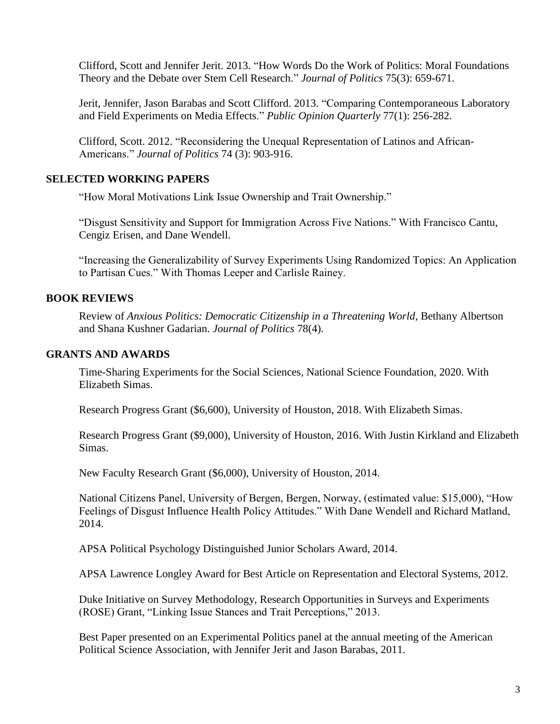Clifford, Scott and Jennifer Jerit. 2013. "How Words Do the Work of Politics: Moral Foundations Theory and the Debate over Stem Cell Research." *Journal of Politics* 75(3): 659-671.

Jerit, Jennifer, Jason Barabas and Scott Clifford. 2013. "Comparing Contemporaneous Laboratory and Field Experiments on Media Effects." *Public Opinion Quarterly* 77(1): 256-282.

Clifford, Scott. 2012. "Reconsidering the Unequal Representation of Latinos and African-Americans." *Journal of Politics* 74 (3): 903-916.

## **SELECTED WORKING PAPERS**

"How Moral Motivations Link Issue Ownership and Trait Ownership."

"Disgust Sensitivity and Support for Immigration Across Five Nations." With Francisco Cantu, Cengiz Erisen, and Dane Wendell.

"Increasing the Generalizability of Survey Experiments Using Randomized Topics: An Application to Partisan Cues." With Thomas Leeper and Carlisle Rainey.

## **BOOK REVIEWS**

Review of *Anxious Politics: Democratic Citizenship in a Threatening World*, Bethany Albertson and Shana Kushner Gadarian. *Journal of Politics* 78(4).

### **GRANTS AND AWARDS**

Time-Sharing Experiments for the Social Sciences, National Science Foundation, 2020. With Elizabeth Simas.

Research Progress Grant (\$6,600), University of Houston, 2018. With Elizabeth Simas.

Research Progress Grant (\$9,000), University of Houston, 2016. With Justin Kirkland and Elizabeth Simas.

New Faculty Research Grant (\$6,000), University of Houston, 2014.

National Citizens Panel, University of Bergen, Bergen, Norway, (estimated value: \$15,000), "How Feelings of Disgust Influence Health Policy Attitudes." With Dane Wendell and Richard Matland, 2014.

APSA Political Psychology Distinguished Junior Scholars Award, 2014.

APSA Lawrence Longley Award for Best Article on Representation and Electoral Systems, 2012.

Duke Initiative on Survey Methodology, Research Opportunities in Surveys and Experiments (ROSE) Grant, "Linking Issue Stances and Trait Perceptions," 2013.

Best Paper presented on an Experimental Politics panel at the annual meeting of the American Political Science Association, with Jennifer Jerit and Jason Barabas, 2011.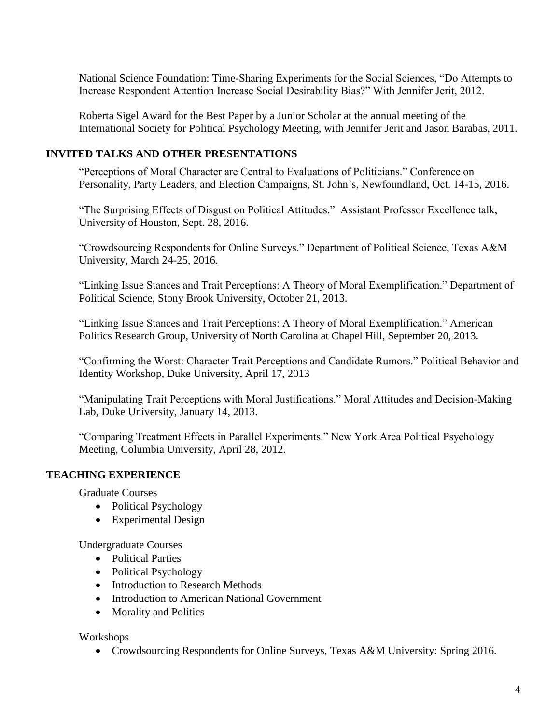National Science Foundation: Time-Sharing Experiments for the Social Sciences, "Do Attempts to Increase Respondent Attention Increase Social Desirability Bias?" With Jennifer Jerit, 2012.

Roberta Sigel Award for the Best Paper by a Junior Scholar at the annual meeting of the International Society for Political Psychology Meeting, with Jennifer Jerit and Jason Barabas, 2011.

# **INVITED TALKS AND OTHER PRESENTATIONS**

"Perceptions of Moral Character are Central to Evaluations of Politicians." Conference on Personality, Party Leaders, and Election Campaigns, St. John's, Newfoundland, Oct. 14-15, 2016.

"The Surprising Effects of Disgust on Political Attitudes." Assistant Professor Excellence talk, University of Houston, Sept. 28, 2016.

"Crowdsourcing Respondents for Online Surveys." Department of Political Science, Texas A&M University, March 24-25, 2016.

"Linking Issue Stances and Trait Perceptions: A Theory of Moral Exemplification." Department of Political Science, Stony Brook University, October 21, 2013.

"Linking Issue Stances and Trait Perceptions: A Theory of Moral Exemplification." American Politics Research Group, University of North Carolina at Chapel Hill, September 20, 2013.

"Confirming the Worst: Character Trait Perceptions and Candidate Rumors." Political Behavior and Identity Workshop, Duke University, April 17, 2013

"Manipulating Trait Perceptions with Moral Justifications." Moral Attitudes and Decision-Making Lab, Duke University, January 14, 2013.

"Comparing Treatment Effects in Parallel Experiments." New York Area Political Psychology Meeting, Columbia University, April 28, 2012.

# **TEACHING EXPERIENCE**

Graduate Courses

- Political Psychology
- Experimental Design

Undergraduate Courses

- Political Parties
- Political Psychology
- Introduction to Research Methods
- Introduction to American National Government
- Morality and Politics

Workshops

Crowdsourcing Respondents for Online Surveys, Texas A&M University: Spring 2016.